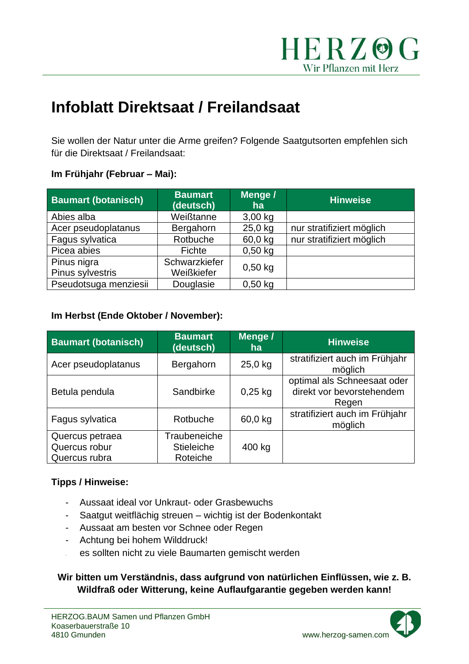

# **Infoblatt Direktsaat / Freilandsaat**

Sie wollen der Natur unter die Arme greifen? Folgende Saatgutsorten empfehlen sich für die Direktsaat / Freilandsaat:

#### **Im Frühjahr (Februar – Mai):**

| <b>Baumart (botanisch)</b> | <b>Baumart</b><br>(deutsch) | Menge /<br>ha | <b>Hinweise</b>           |
|----------------------------|-----------------------------|---------------|---------------------------|
| Abies alba                 | Weißtanne                   | $3,00$ kg     |                           |
| Acer pseudoplatanus        | Bergahorn                   | 25,0 kg       | nur stratifiziert möglich |
| Fagus sylvatica            | Rotbuche                    | 60,0 kg       | nur stratifiziert möglich |
| Picea abies                | Fichte                      | $0,50$ kg     |                           |
| Pinus nigra                | Schwarzkiefer               | $0,50$ kg     |                           |
| Pinus sylvestris           | Weißkiefer                  |               |                           |
| Pseudotsuga menziesii      | Douglasie                   | $0,50$ kg     |                           |

### **Im Herbst (Ende Oktober / November):**

| <b>Baumart (botanisch)</b>                        | <b>Baumart</b><br>(deutsch)            | Menge /<br>ha | <b>Hinweise</b>                                                   |
|---------------------------------------------------|----------------------------------------|---------------|-------------------------------------------------------------------|
| Acer pseudoplatanus                               | Bergahorn                              | $25,0$ kg     | stratifiziert auch im Frühjahr<br>möglich                         |
| Betula pendula                                    | Sandbirke                              | $0,25$ kg     | optimal als Schneesaat oder<br>direkt vor bevorstehendem<br>Regen |
| Fagus sylvatica                                   | Rotbuche                               | 60,0 kg       | stratifiziert auch im Frühjahr<br>möglich                         |
| Quercus petraea<br>Quercus robur<br>Quercus rubra | Traubeneiche<br>Stieleiche<br>Roteiche | 400 kg        |                                                                   |

### **Tipps / Hinweise:**

- Aussaat ideal vor Unkraut- oder Grasbewuchs
- Saatgut weitflächig streuen wichtig ist der Bodenkontakt
- Aussaat am besten vor Schnee oder Regen
- Achtung bei hohem Wilddruck!
- es sollten nicht zu viele Baumarten gemischt werden

### **Wir bitten um Verständnis, dass aufgrund von natürlichen Einflüssen, wie z. B. Wildfraß oder Witterung, keine Auflaufgarantie gegeben werden kann!**